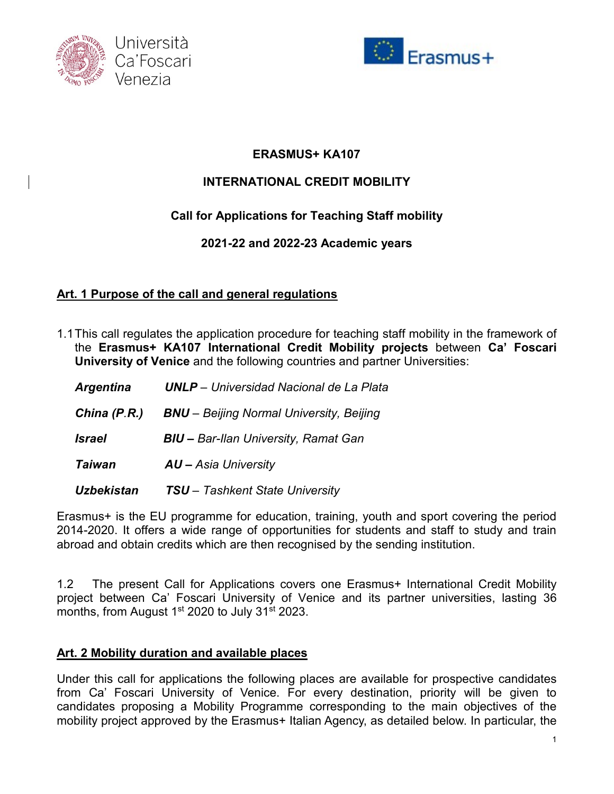



# **ERASMUS+ KA107**

# **INTERNATIONAL CREDIT MOBILITY**

# **Call for Applications for Teaching Staff mobility**

## **2021-22 and 2022-23 Academic years**

## **Art. 1 Purpose of the call and general regulations**

1.1This call regulates the application procedure for teaching staff mobility in the framework of the **Erasmus+ KA107 International Credit Mobility projects** between **Ca' Foscari University of Venice** and the following countries and partner Universities:

| <b>Argentina</b>  | <b>UNLP</b> - Universidad Nacional de La Plata  |
|-------------------|-------------------------------------------------|
| China $(P.R.)$    | <b>BNU</b> - Beijing Normal University, Beijing |
| <b>Israel</b>     | <b>BIU</b> - Bar-Ilan University, Ramat Gan     |
| Taiwan            | $AU - Asia University$                          |
| <b>Uzbekistan</b> | <b>TSU</b> - Tashkent State University          |

Erasmus+ is the EU programme for education, training, youth and sport covering the period 2014-2020. It offers a wide range of opportunities for students and staff to study and train abroad and obtain credits which are then recognised by the sending institution.

1.2 The present Call for Applications covers one Erasmus+ International Credit Mobility project between Ca' Foscari University of Venice and its partner universities, lasting 36 months, from August 1<sup>st</sup> 2020 to July 31<sup>st</sup> 2023.

### **Art. 2 Mobility duration and available places**

Under this call for applications the following places are available for prospective candidates from Ca' Foscari University of Venice. For every destination, priority will be given to candidates proposing a Mobility Programme corresponding to the main objectives of the mobility project approved by the Erasmus+ Italian Agency, as detailed below. In particular, the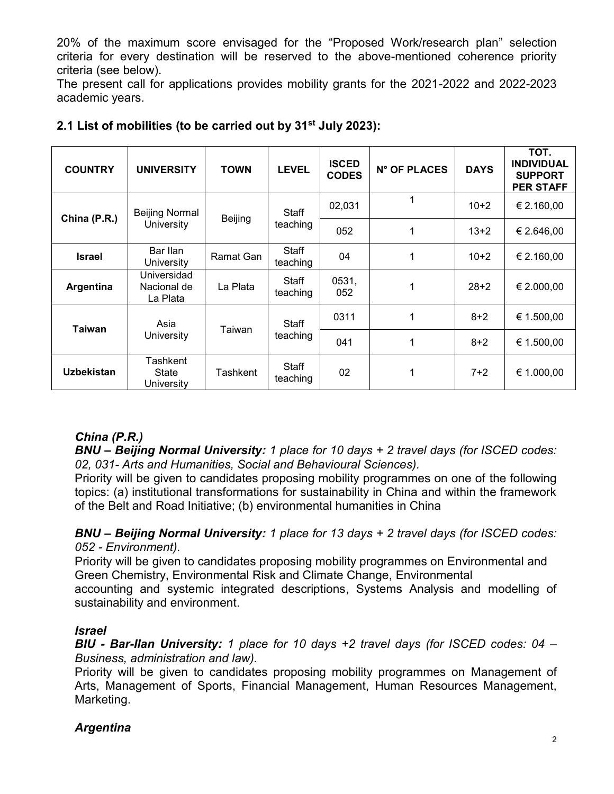20% of the maximum score envisaged for the "Proposed Work/research plan" selection criteria for every destination will be reserved to the above-mentioned coherence priority criteria (see below).

The present call for applications provides mobility grants for the 2021-2022 and 2022-2023 academic years.

| <b>COUNTRY</b>    | <b>UNIVERSITY</b>                      | <b>TOWN</b> | <b>LEVEL</b>             | <b>ISCED</b><br><b>CODES</b> | <b>N° OF PLACES</b> | <b>DAYS</b> | TOT.<br><b>INDIVIDUAL</b><br><b>SUPPORT</b><br><b>PER STAFF</b> |
|-------------------|----------------------------------------|-------------|--------------------------|------------------------------|---------------------|-------------|-----------------------------------------------------------------|
| China (P.R.)      | <b>Beijing Normal</b><br>University    | Beijing     | Staff<br>teaching        | 02,031                       | $\mathbf 1$         | $10+2$      | € 2.160,00                                                      |
|                   |                                        |             |                          | 052                          |                     | $13+2$      | € 2.646,00                                                      |
| <b>Israel</b>     | Bar Ilan<br>University                 | Ramat Gan   | <b>Staff</b><br>teaching | 04                           |                     | $10+2$      | € 2.160,00                                                      |
| Argentina         | Universidad<br>Nacional de<br>La Plata | La Plata    | Staff<br>teaching        | 0531,<br>052                 |                     | $28+2$      | € 2.000,00                                                      |
| Taiwan            | Asia<br>University                     | Taiwan      | <b>Staff</b><br>teaching | 0311                         |                     | $8 + 2$     | € 1.500,00                                                      |
|                   |                                        |             |                          | 041                          |                     | $8+2$       | € 1.500,00                                                      |
| <b>Uzbekistan</b> | Tashkent<br>State<br>University        | Tashkent    | Staff<br>teaching        | 02                           |                     | $7+2$       | € 1.000,00                                                      |

### **2.1 List of mobilities (to be carried out by 31st July 2023):**

## *China (P.R.)*

*BNU – Beijing Normal University: 1 place for 10 days + 2 travel days (for ISCED codes: 02, 031- Arts and Humanities, Social and Behavioural Sciences).*

Priority will be given to candidates proposing mobility programmes on one of the following topics: (a) institutional transformations for sustainability in China and within the framework of the Belt and Road Initiative; (b) environmental humanities in China

### *BNU – Beijing Normal University: 1 place for 13 days + 2 travel days (for ISCED codes: 052 - Environment).*

Priority will be given to candidates proposing mobility programmes on Environmental and Green Chemistry, Environmental Risk and Climate Change, Environmental accounting and systemic integrated descriptions, Systems Analysis and modelling of

sustainability and environment.

### *Israel*

*BIU - Bar-Ilan University: 1 place for 10 days +2 travel days (for ISCED codes: 04 – Business, administration and law).*

Priority will be given to candidates proposing mobility programmes on Management of Arts, Management of Sports, Financial Management, Human Resources Management, Marketing.

## *Argentina*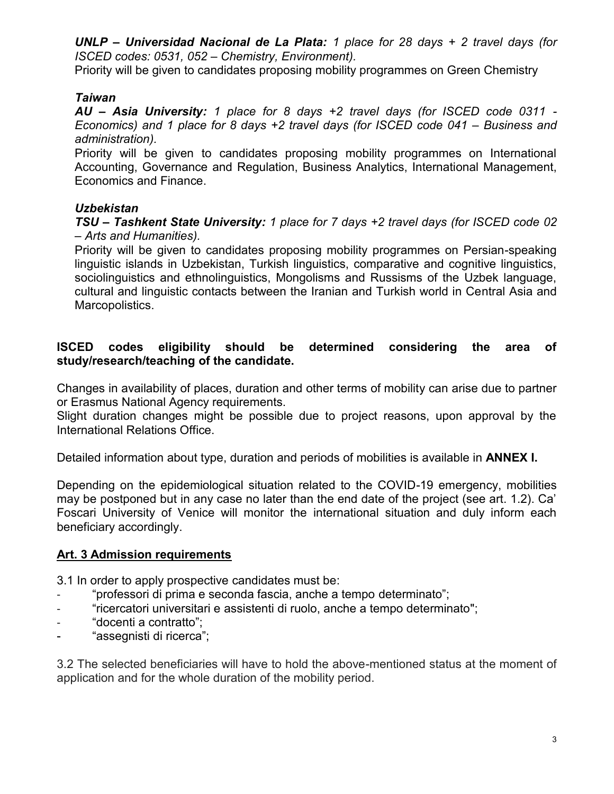*UNLP – Universidad Nacional de La Plata: 1 place for 28 days + 2 travel days (for ISCED codes: 0531, 052 – Chemistry, Environment).*

Priority will be given to candidates proposing mobility programmes on Green Chemistry

### *Taiwan*

*AU – Asia University: 1 place for 8 days +2 travel days (for ISCED code 0311 - Economics) and 1 place for 8 days +2 travel days (for ISCED code 041 – Business and administration).*

Priority will be given to candidates proposing mobility programmes on International Accounting, Governance and Regulation, Business Analytics, International Management, Economics and Finance.

### *Uzbekistan*

*TSU – Tashkent State University: 1 place for 7 days +2 travel days (for ISCED code 02 – Arts and Humanities).*

Priority will be given to candidates proposing mobility programmes on Persian-speaking linguistic islands in Uzbekistan, Turkish linguistics, comparative and cognitive linguistics, sociolinguistics and ethnolinguistics, Mongolisms and Russisms of the Uzbek language, cultural and linguistic contacts between the Iranian and Turkish world in Central Asia and Marcopolistics.

#### **ISCED codes eligibility should be determined considering the area of study/research/teaching of the candidate.**

Changes in availability of places, duration and other terms of mobility can arise due to partner or Erasmus National Agency requirements.

Slight duration changes might be possible due to project reasons, upon approval by the International Relations Office.

Detailed information about type, duration and periods of mobilities is available in **ANNEX I.**

Depending on the epidemiological situation related to the COVID-19 emergency, mobilities may be postponed but in any case no later than the end date of the project (see art. 1.2). Ca' Foscari University of Venice will monitor the international situation and duly inform each beneficiary accordingly.

### **Art. 3 Admission requirements**

3.1 In order to apply prospective candidates must be:

- "professori di prima e seconda fascia, anche a tempo determinato";
- "ricercatori universitari e assistenti di ruolo, anche a tempo determinato";
- "docenti a contratto";
- "assegnisti di ricerca";

3.2 The selected beneficiaries will have to hold the above-mentioned status at the moment of application and for the whole duration of the mobility period.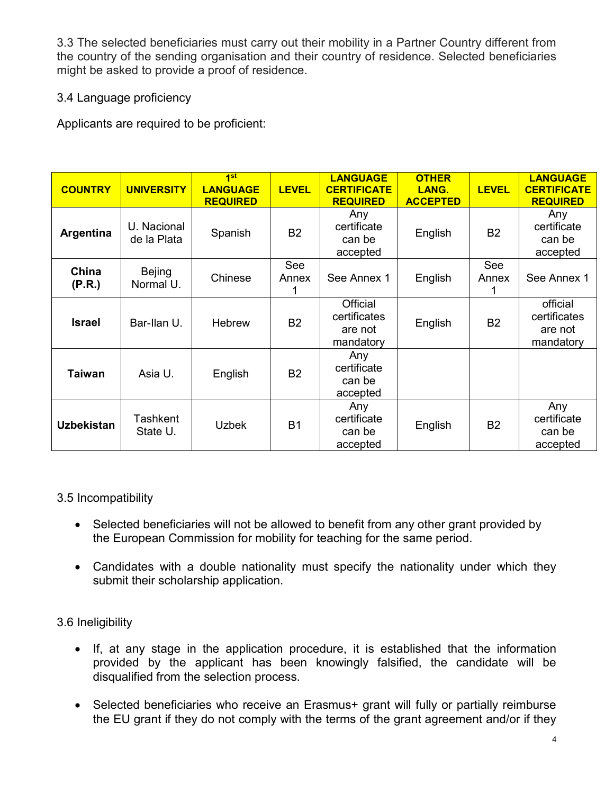3.3 The selected beneficiaries must carry out their mobility in a Partner Country different from the country of the sending organisation and their country of residence. Selected beneficiaries might be asked to provide a proof of residence.

## 3.4 Language proficiency

Applicants are required to be proficient:

| <b>COUNTRY</b>    | <b>UNIVERSITY</b>           | 1 <sup>st</sup><br><b>LANGUAGE</b><br><b>REQUIRED</b> | <b>LEVEL</b> | <b>LANGUAGE</b><br><b>CERTIFICATE</b><br><b>REQUIRED</b> | <b>OTHER</b><br>LANG.<br><b>ACCEPTED</b> | <b>LEVEL</b>   | <b>LANGUAGE</b><br><b>CERTIFICATE</b><br><b>REQUIRED</b> |
|-------------------|-----------------------------|-------------------------------------------------------|--------------|----------------------------------------------------------|------------------------------------------|----------------|----------------------------------------------------------|
| Argentina         | U. Nacional<br>de la Plata  | Spanish                                               | <b>B2</b>    | Any<br>certificate<br>can be<br>accepted                 | English                                  | B <sub>2</sub> | Any<br>certificate<br>can be<br>accepted                 |
| China<br>(P.R.)   | Bejing<br>Normal U.         | Chinese                                               | See<br>Annex | See Annex 1                                              | English                                  | See<br>Annex   | See Annex 1                                              |
| <b>Israel</b>     | Bar-Ilan U.                 | <b>Hebrew</b>                                         | <b>B2</b>    | Official<br>certificates<br>are not<br>mandatory         | English                                  | <b>B2</b>      | official<br>certificates<br>are not<br>mandatory         |
| <b>Taiwan</b>     | Asia U.                     | English                                               | <b>B2</b>    | Any<br>certificate<br>can be<br>accepted                 |                                          |                |                                                          |
| <b>Uzbekistan</b> | <b>Tashkent</b><br>State U. | <b>Uzbek</b>                                          | <b>B1</b>    | Any<br>certificate<br>can be<br>accepted                 | English                                  | <b>B2</b>      | Any<br>certificate<br>can be<br>accepted                 |

### 3.5 Incompatibility

- Selected beneficiaries will not be allowed to benefit from any other grant provided by the European Commission for mobility for teaching for the same period.
- Candidates with a double nationality must specify the nationality under which they submit their scholarship application.

### 3.6 Ineligibility

- If, at any stage in the application procedure, it is established that the information provided by the applicant has been knowingly falsified, the candidate will be disqualified from the selection process.
- Selected beneficiaries who receive an Erasmus+ grant will fully or partially reimburse the EU grant if they do not comply with the terms of the grant agreement and/or if they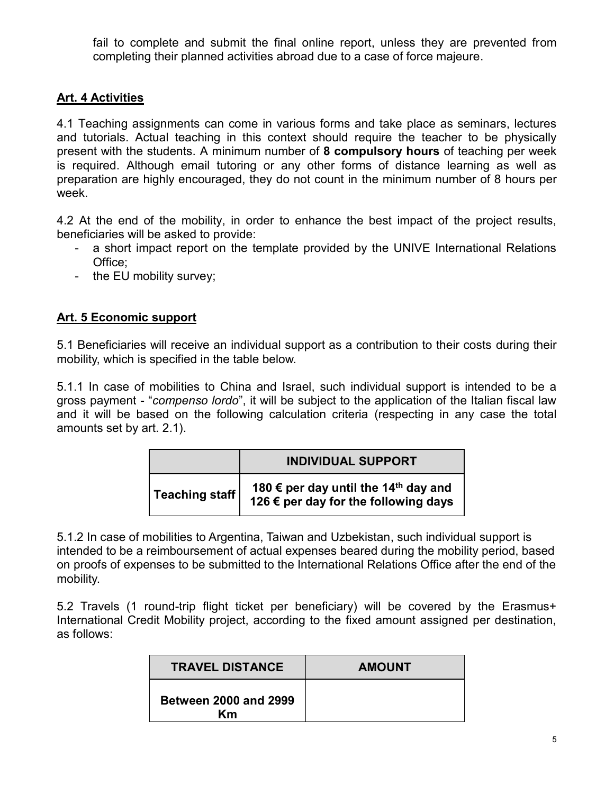fail to complete and submit the final online report, unless they are prevented from completing their planned activities abroad due to a case of force majeure.

## **Art. 4 Activities**

4.1 Teaching assignments can come in various forms and take place as seminars, lectures and tutorials. Actual teaching in this context should require the teacher to be physically present with the students. A minimum number of **8 compulsory hours** of teaching per week is required. Although email tutoring or any other forms of distance learning as well as preparation are highly encouraged, they do not count in the minimum number of 8 hours per week.

4.2 At the end of the mobility, in order to enhance the best impact of the project results, beneficiaries will be asked to provide:

- a short impact report on the template provided by the UNIVE International Relations Office;
- the EU mobility survey;

### **Art. 5 Economic support**

5.1 Beneficiaries will receive an individual support as a contribution to their costs during their mobility, which is specified in the table below.

5.1.1 In case of mobilities to China and Israel, such individual support is intended to be a gross payment - "*compenso lordo*", it will be subject to the application of the Italian fiscal law and it will be based on the following calculation criteria (respecting in any case the total amounts set by art. 2.1).

|                | <b>INDIVIDUAL SUPPORT</b>                                                                |  |  |  |
|----------------|------------------------------------------------------------------------------------------|--|--|--|
| Teaching staff | 180 € per day until the 14 <sup>th</sup> day and<br>126 € per day for the following days |  |  |  |

5.1.2 In case of mobilities to Argentina, Taiwan and Uzbekistan, such individual support is intended to be a reimboursement of actual expenses beared during the mobility period, based on proofs of expenses to be submitted to the International Relations Office after the end of the mobility.

5.2 Travels (1 round-trip flight ticket per beneficiary) will be covered by the Erasmus+ International Credit Mobility project, according to the fixed amount assigned per destination, as follows:

| <b>TRAVEL DISTANCE</b>             | <b>AMOUNT</b> |
|------------------------------------|---------------|
| <b>Between 2000 and 2999</b><br>Κm |               |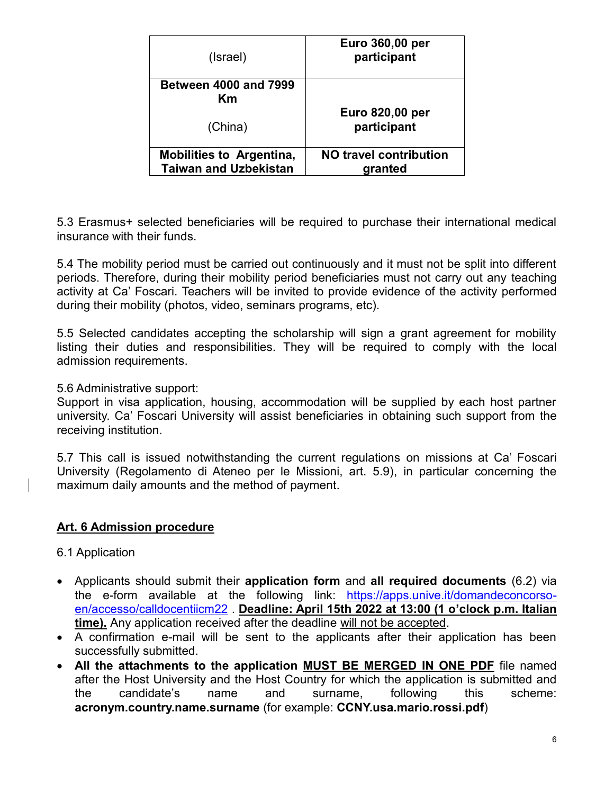| (Israel)                                                        | Euro 360,00 per<br>participant    |
|-----------------------------------------------------------------|-----------------------------------|
| <b>Between 4000 and 7999</b><br>Κm                              |                                   |
| (China)                                                         | Euro 820,00 per<br>participant    |
| <b>Mobilities to Argentina,</b><br><b>Taiwan and Uzbekistan</b> | NO travel contribution<br>granted |

5.3 Erasmus+ selected beneficiaries will be required to purchase their international medical insurance with their funds.

5.4 The mobility period must be carried out continuously and it must not be split into different periods. Therefore, during their mobility period beneficiaries must not carry out any teaching activity at Ca' Foscari. Teachers will be invited to provide evidence of the activity performed during their mobility (photos, video, seminars programs, etc).

5.5 Selected candidates accepting the scholarship will sign a grant agreement for mobility listing their duties and responsibilities. They will be required to comply with the local admission requirements.

#### 5.6 Administrative support:

Support in visa application, housing, accommodation will be supplied by each host partner university. Ca' Foscari University will assist beneficiaries in obtaining such support from the receiving institution.

5.7 This call is issued notwithstanding the current regulations on missions at Ca' Foscari University (Regolamento di Ateneo per le Missioni, art. 5.9), in particular concerning the maximum daily amounts and the method of payment.

#### **Art. 6 Admission procedure**

- 6.1 Application
- Applicants should submit their **application form** and **all required documents** (6.2) via the e-form available at the following link: [https://apps.unive.it/domandeconcorso](https://apps.unive.it/domandeconcorso-en/accesso/calldocentiicm22)[en/accesso/calldocentiicm22](https://apps.unive.it/domandeconcorso-en/accesso/calldocentiicm22) . **Deadline: April 15th 2022 at 13:00 (1 o'clock p.m. Italian time).** Any application received after the deadline will not be accepted.
- A confirmation e-mail will be sent to the applicants after their application has been successfully submitted.
- **All the attachments to the application MUST BE MERGED IN ONE PDF** file named after the Host University and the Host Country for which the application is submitted and the candidate's name and surname, following this scheme: **acronym.country.name.surname** (for example: **CCNY.usa.mario.rossi.pdf**)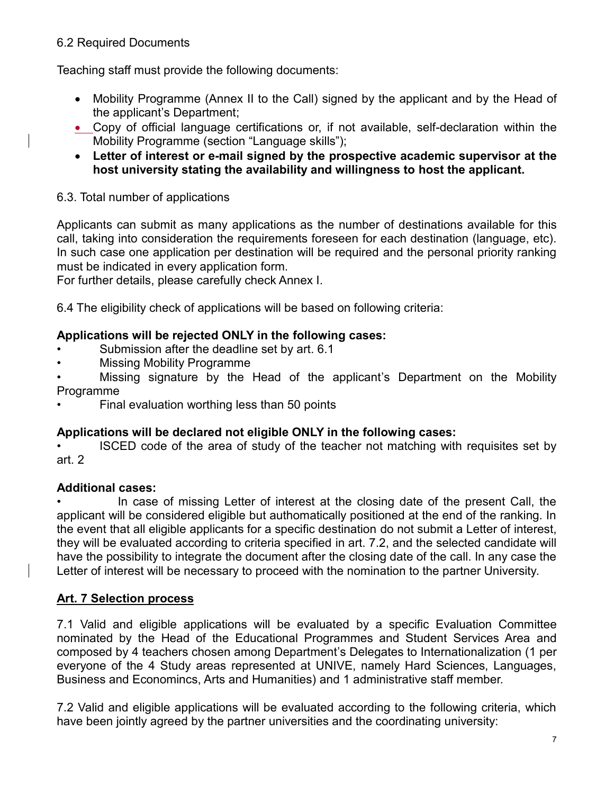#### 6.2 Required Documents

Teaching staff must provide the following documents:

- Mobility Programme (Annex II to the Call) signed by the applicant and by the Head of the applicant's Department;
- Copy of official language certifications or, if not available, self-declaration within the Mobility Programme (section "Language skills");
- **Letter of interest or e-mail signed by the prospective academic supervisor at the host university stating the availability and willingness to host the applicant.**

### 6.3. Total number of applications

Applicants can submit as many applications as the number of destinations available for this call, taking into consideration the requirements foreseen for each destination (language, etc). In such case one application per destination will be required and the personal priority ranking must be indicated in every application form.

For further details, please carefully check Annex I.

6.4 The eligibility check of applications will be based on following criteria:

## **Applications will be rejected ONLY in the following cases:**

- Submission after the deadline set by art. 6.1
- Missing Mobility Programme
- Missing signature by the Head of the applicant's Department on the Mobility Programme
- Final evaluation worthing less than 50 points

## **Applications will be declared not eligible ONLY in the following cases:**

• ISCED code of the area of study of the teacher not matching with requisites set by art. 2

### **Additional cases:**

In case of missing Letter of interest at the closing date of the present Call, the applicant will be considered eligible but authomatically positioned at the end of the ranking. In the event that all eligible applicants for a specific destination do not submit a Letter of interest, they will be evaluated according to criteria specified in art. 7.2, and the selected candidate will have the possibility to integrate the document after the closing date of the call. In any case the Letter of interest will be necessary to proceed with the nomination to the partner University.

### **Art. 7 Selection process**

7.1 Valid and eligible applications will be evaluated by a specific Evaluation Committee nominated by the Head of the Educational Programmes and Student Services Area and composed by 4 teachers chosen among Department's Delegates to Internationalization (1 per everyone of the 4 Study areas represented at UNIVE, namely Hard Sciences, Languages, Business and Economincs, Arts and Humanities) and 1 administrative staff member.

7.2 Valid and eligible applications will be evaluated according to the following criteria, which have been jointly agreed by the partner universities and the coordinating university: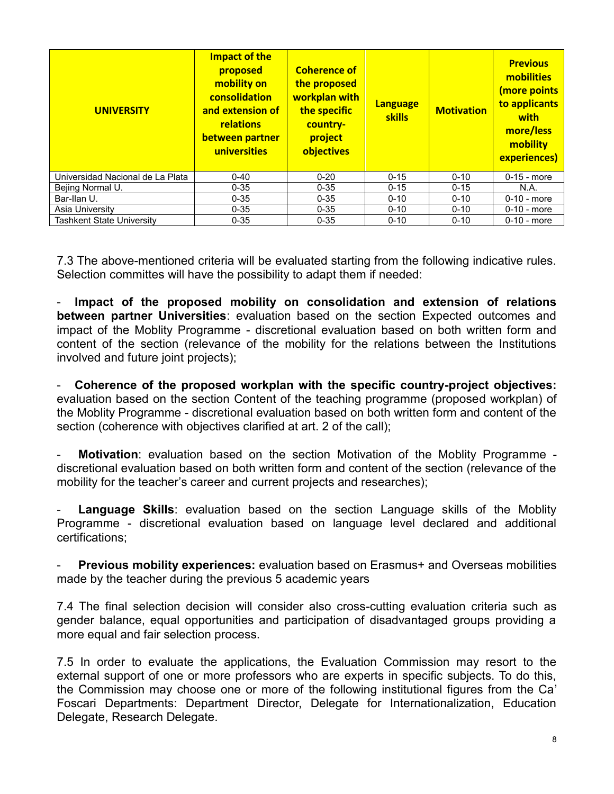| <b>UNIVERSITY</b>                | Impact of the<br>proposed<br>mobility on<br>consolidation<br>and extension of<br>relations<br>between partner<br>universities | <b>Coherence of</b><br>the proposed<br>workplan with<br>the specific<br>country-<br>project<br>objectives | <b>Language</b><br><b>skills</b> | <b>Motivation</b> | <b>Previous</b><br>mobilities<br>(more points<br>to applicants<br>with<br>more/less<br>mobility<br>experiences) |
|----------------------------------|-------------------------------------------------------------------------------------------------------------------------------|-----------------------------------------------------------------------------------------------------------|----------------------------------|-------------------|-----------------------------------------------------------------------------------------------------------------|
| Universidad Nacional de La Plata | $0 - 40$                                                                                                                      | $0 - 20$                                                                                                  | $0 - 15$                         | $0 - 10$          | $0-15$ - more                                                                                                   |
| Bejing Normal U.                 | $0 - 35$                                                                                                                      | $0 - 35$                                                                                                  | $0 - 15$                         | $0 - 15$          | N.A.                                                                                                            |
| Bar-Ilan U.                      | $0 - 35$                                                                                                                      | $0 - 35$                                                                                                  | $0 - 10$                         | $0 - 10$          | $0-10$ - more                                                                                                   |
| Asia University                  | $0 - 35$                                                                                                                      | $0 - 35$                                                                                                  | $0 - 10$                         | $0 - 10$          | $0-10$ - more                                                                                                   |
| <b>Tashkent State University</b> | $0 - 35$                                                                                                                      | $0 - 35$                                                                                                  | $0 - 10$                         | $0 - 10$          | $0-10$ - more                                                                                                   |

7.3 The above-mentioned criteria will be evaluated starting from the following indicative rules. Selection committes will have the possibility to adapt them if needed:

- **Impact of the proposed mobility on consolidation and extension of relations between partner Universities**: evaluation based on the section Expected outcomes and impact of the Moblity Programme - discretional evaluation based on both written form and content of the section (relevance of the mobility for the relations between the Institutions involved and future joint projects);

- **Coherence of the proposed workplan with the specific country-project objectives:** evaluation based on the section Content of the teaching programme (proposed workplan) of the Moblity Programme - discretional evaluation based on both written form and content of the section (coherence with objectives clarified at art. 2 of the call);

- **Motivation**: evaluation based on the section Motivation of the Moblity Programme discretional evaluation based on both written form and content of the section (relevance of the mobility for the teacher's career and current projects and researches);

**Language Skills**: evaluation based on the section Language skills of the Moblity Programme - discretional evaluation based on language level declared and additional certifications;

**Previous mobility experiences:** evaluation based on Erasmus+ and Overseas mobilities made by the teacher during the previous 5 academic years

7.4 The final selection decision will consider also cross-cutting evaluation criteria such as gender balance, equal opportunities and participation of disadvantaged groups providing a more equal and fair selection process.

7.5 In order to evaluate the applications, the Evaluation Commission may resort to the external support of one or more professors who are experts in specific subjects. To do this, the Commission may choose one or more of the following institutional figures from the Ca' Foscari Departments: Department Director, Delegate for Internationalization, Education Delegate, Research Delegate.